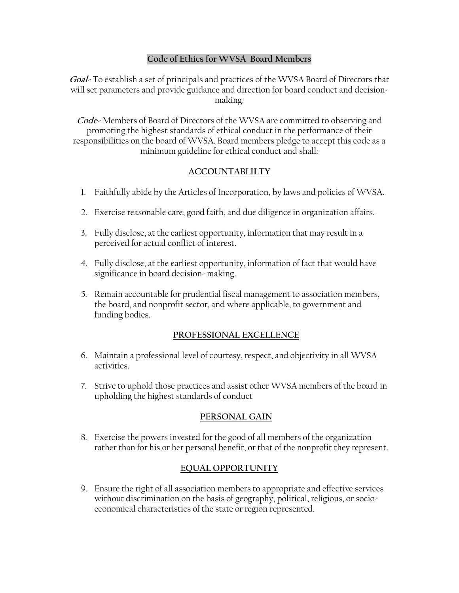#### **Code of Ethics for WVSA Board Members**

**Goal-** To establish a set of principals and practices of the WVSA Board of Directors that will set parameters and provide guidance and direction for board conduct and decisionmaking.

**Code-** Members of Board of Directors of the WVSA are committed to observing and promoting the highest standards of ethical conduct in the performance of their responsibilities on the board of WVSA. Board members pledge to accept this code as a minimum guideline for ethical conduct and shall:

# **ACCOUNTABLILTY**

- 1. Faithfully abide by the Articles of Incorporation, by laws and policies of WVSA.
- 2. Exercise reasonable care, good faith, and due diligence in organization affairs.
- 3. Fully disclose, at the earliest opportunity, information that may result in a perceived for actual conflict of interest.
- 4. Fully disclose, at the earliest opportunity, information of fact that would have significance in board decision- making.
- 5. Remain accountable for prudential fiscal management to association members, the board, and nonprofit sector, and where applicable, to government and funding bodies.

### **PROFESSIONAL EXCELLENCE**

- 6. Maintain a professional level of courtesy, respect, and objectivity in all WVSA activities.
- 7. Strive to uphold those practices and assist other WVSA members of the board in upholding the highest standards of conduct

### **PERSONAL GAIN**

8. Exercise the powers invested for the good of all members of the organization rather than for his or her personal benefit, or that of the nonprofit they represent.

### **EQUAL OPPORTUNITY**

9. Ensure the right of all association members to appropriate and effective services without discrimination on the basis of geography, political, religious, or socioeconomical characteristics of the state or region represented.